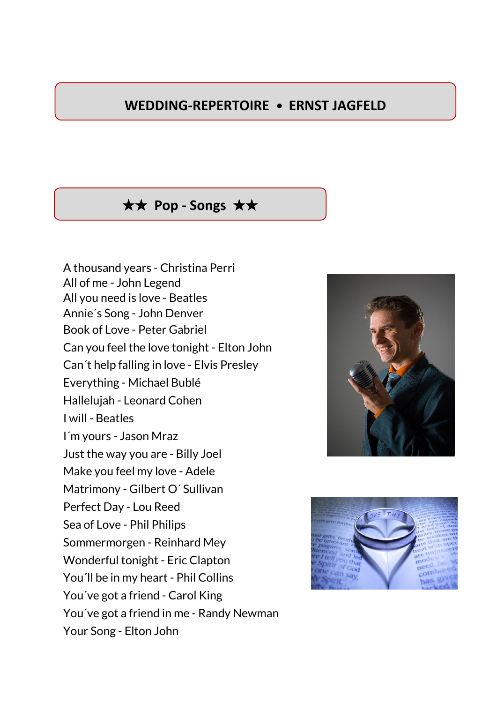## **WEDDING-REPERTOIRE • ERNST JAGFELD**

## ★★ **Pop - Songs** ★★

A thousand years - Christina Perri All of me - John Legend All you need is love - Beatles Annie´s Song - John Denver Book of Love - Peter Gabriel Can you feel the love tonight - Elton John Can´t help falling in love - Elvis Presley Everything - Michael Bublé Hallelujah - Leonard Cohen I will - Beatles I´m yours - Jason Mraz Just the way you are - Billy Joel Make you feel my love - Adele Matrimony - Gilbert O´ Sullivan Perfect Day - Lou Reed Sea of Love - Phil Philips Sommermorgen - Reinhard Mey Wonderful tonight - Eric Clapton You´ll be in my heart - Phil Collins You´ve got a friend - Carol King You´ve got a friend in me - Randy Newman Your Song - Elton John



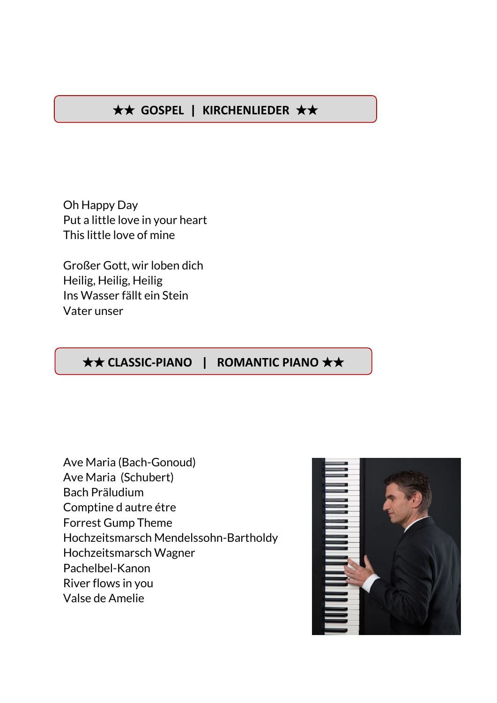# ★★ **GOSPEL | KIRCHENLIEDER** ★★

Oh Happy Day Put a little love in your heart This little love of mine

Großer Gott, wir loben dich Heilig, Heilig, Heilig Ins Wasser fällt ein Stein Vater unser

#### ★★ **CLASSIC-PIANO | ROMANTIC PIANO** ★★

Ave Maria (Bach-Gonoud) Ave Maria (Schubert) Bach Präludium Comptine d autre étre Forrest Gump Theme Hochzeitsmarsch Mendelssohn-Bartholdy Hochzeitsmarsch Wagner Pachelbel-Kanon River flows in you Valse de Amelie